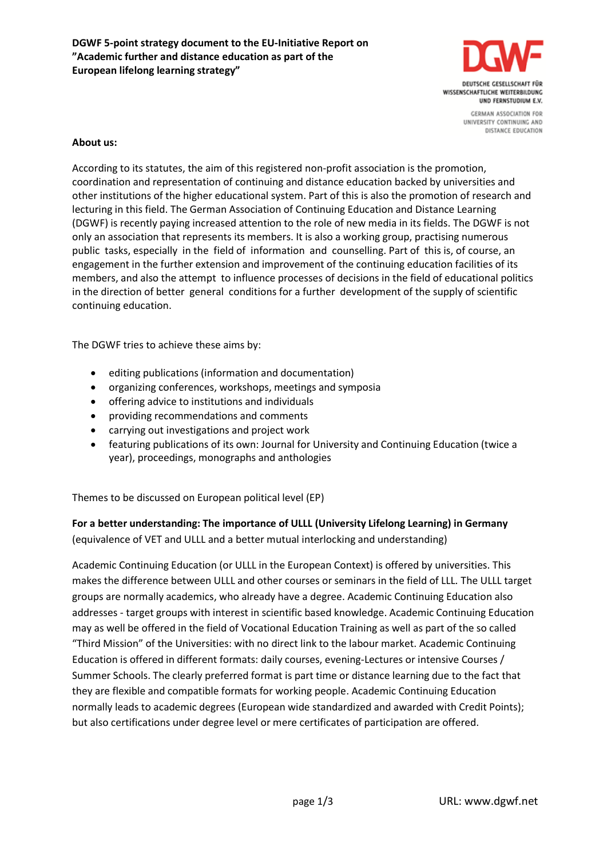

**CERMAN ASSOCIATION FOR** UNIVERSITY CONTINUING AND DISTANCE EDUCATION

### **About us:**

According to its statutes, the aim of this registered non-profit association is the promotion, coordination and representation of continuing and distance education backed by universities and other institutions of the higher educational system. Part of this is also the promotion of research and lecturing in this field. The German Association of Continuing Education and Distance Learning (DGWF) is recently paying increased attention to the role of new media in its fields. The DGWF is not only an association that represents its members. It is also a working group, practising numerous public tasks, especially in the field of information and counselling. Part of this is, of course, an engagement in the further extension and improvement of the continuing education facilities of its members, and also the attempt to influence processes of decisions in the field of educational politics in the direction of better general conditions for a further development of the supply of scientific continuing education.

The DGWF tries to achieve these aims by:

- editing publications (information and documentation)
- organizing conferences, workshops, meetings and symposia
- offering advice to institutions and individuals
- providing recommendations and comments
- carrying out investigations and project work
- featuring publications of its own: Journal for University and Continuing Education (twice a year), proceedings, monographs and anthologies

Themes to be discussed on European political level (EP)

## **For a better understanding: The importance of ULLL (University Lifelong Learning) in Germany** (equivalence of VET and ULLL and a better mutual interlocking and understanding)

Academic Continuing Education (or ULLL in the European Context) is offered by universities. This makes the difference between ULLL and other courses or seminars in the field of LLL. The ULLL target groups are normally academics, who already have a degree. Academic Continuing Education also addresses - target groups with interest in scientific based knowledge. Academic Continuing Education may as well be offered in the field of Vocational Education Training as well as part of the so called "Third Mission" of the Universities: with no direct link to the labour market. Academic Continuing Education is offered in different formats: daily courses, evening-Lectures or intensive Courses / Summer Schools. The clearly preferred format is part time or distance learning due to the fact that they are flexible and compatible formats for working people. Academic Continuing Education normally leads to academic degrees (European wide standardized and awarded with Credit Points); but also certifications under degree level or mere certificates of participation are offered.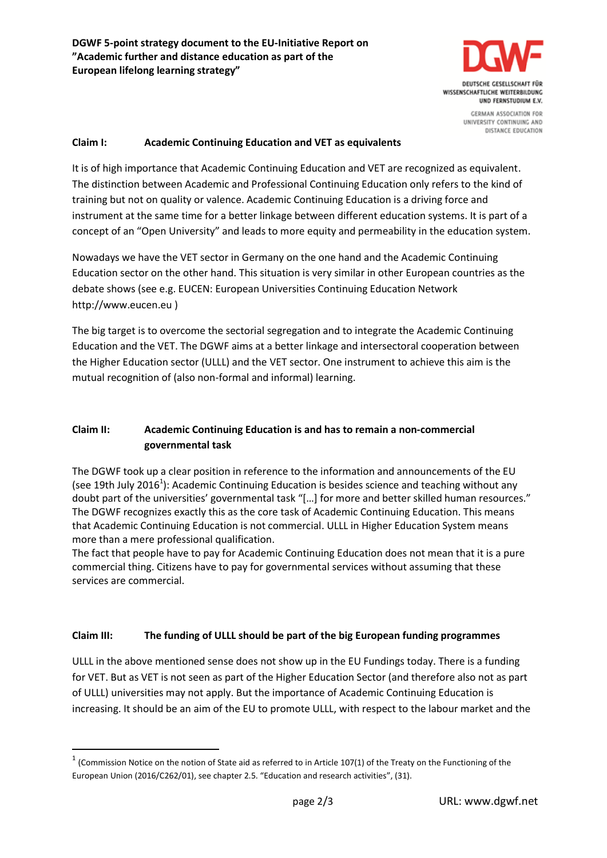

DISTANCE EDUCATION

#### **Claim I: Academic Continuing Education and VET as equivalents**

It is of high importance that Academic Continuing Education and VET are recognized as equivalent. The distinction between Academic and Professional Continuing Education only refers to the kind of training but not on quality or valence. Academic Continuing Education is a driving force and instrument at the same time for a better linkage between different education systems. It is part of a concept of an "Open University" and leads to more equity and permeability in the education system.

Nowadays we have the VET sector in Germany on the one hand and the Academic Continuing Education sector on the other hand. This situation is very similar in other European countries as the debate shows (see e.g. EUCEN: European Universities Continuing Education Network http://www.eucen.eu )

The big target is to overcome the sectorial segregation and to integrate the Academic Continuing Education and the VET. The DGWF aims at a better linkage and intersectoral cooperation between the Higher Education sector (ULLL) and the VET sector. One instrument to achieve this aim is the mutual recognition of (also non-formal and informal) learning.

### **Claim II: Academic Continuing Education is and has to remain a non-commercial governmental task**

The DGWF took up a clear position in reference to the information and announcements of the EU (see 19th July 2016<sup>1</sup>): Academic Continuing Education is besides science and teaching without any doubt part of the universities' governmental task "[…] for more and better skilled human resources." The DGWF recognizes exactly this as the core task of Academic Continuing Education. This means that Academic Continuing Education is not commercial. ULLL in Higher Education System means more than a mere professional qualification.

The fact that people have to pay for Academic Continuing Education does not mean that it is a pure commercial thing. Citizens have to pay for governmental services without assuming that these services are commercial.

#### **Claim III: The funding of ULLL should be part of the big European funding programmes**

ULLL in the above mentioned sense does not show up in the EU Fundings today. There is a funding for VET. But as VET is not seen as part of the Higher Education Sector (and therefore also not as part of ULLL) universities may not apply. But the importance of Academic Continuing Education is increasing. It should be an aim of the EU to promote ULLL, with respect to the labour market and the

**.** 

 $1$  (Commission Notice on the notion of State aid as referred to in Article 107(1) of the Treaty on the Functioning of the European Union (2016/C262/01), see chapter 2.5. "Education and research activities", (31).